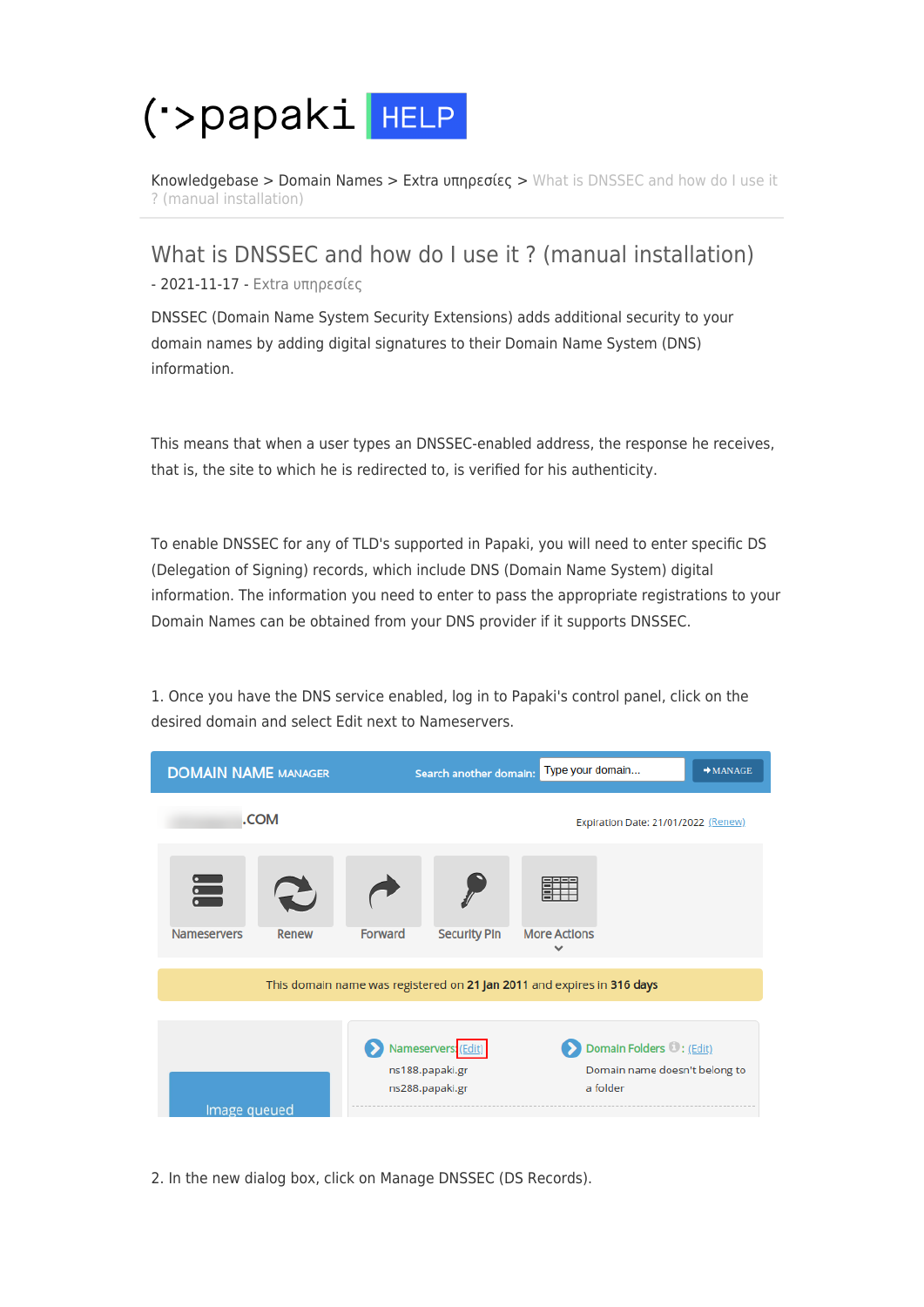## ('>papaki HELP

[Knowledgebase](https://help.papaki.com/en/kb) > [Domain Names](https://help.papaki.com/en/kb/domain-names) > [Extra υπηρεσίες](https://help.papaki.com/en/kb/extra) > [What is DNSSEC and how do I use it](https://help.papaki.com/en/kb/articles/dnssec-6) [? \(manual installation\)](https://help.papaki.com/en/kb/articles/dnssec-6)

What is DNSSEC and how do I use it ? (manual installation) - 2021-11-17 - [Extra υπηρεσίες](https://help.papaki.com/en/kb/extra)

DNSSEC (Domain Name System Security Extensions) adds additional security to your domain names by adding digital signatures to their Domain Name System (DNS) information.

This means that when a user types an DNSSEC-enabled address, the response he receives, that is, the site to which he is redirected to, is verified for his authenticity.

To enable DNSSEC for any of TLD's supported in Papaki, you will need to enter specific DS (Delegation of Signing) records, which include DNS (Domain Name System) digital information. The information you need to enter to pass the appropriate registrations to your Domain Names can be obtained from your DNS provider if it supports DNSSEC.



1. Once you have the DNS service enabled, log in to Papaki's control panel, click on the desired domain and select Edit next to Nameservers.

2. In the new dialog box, click on Manage DNSSEC (DS Records).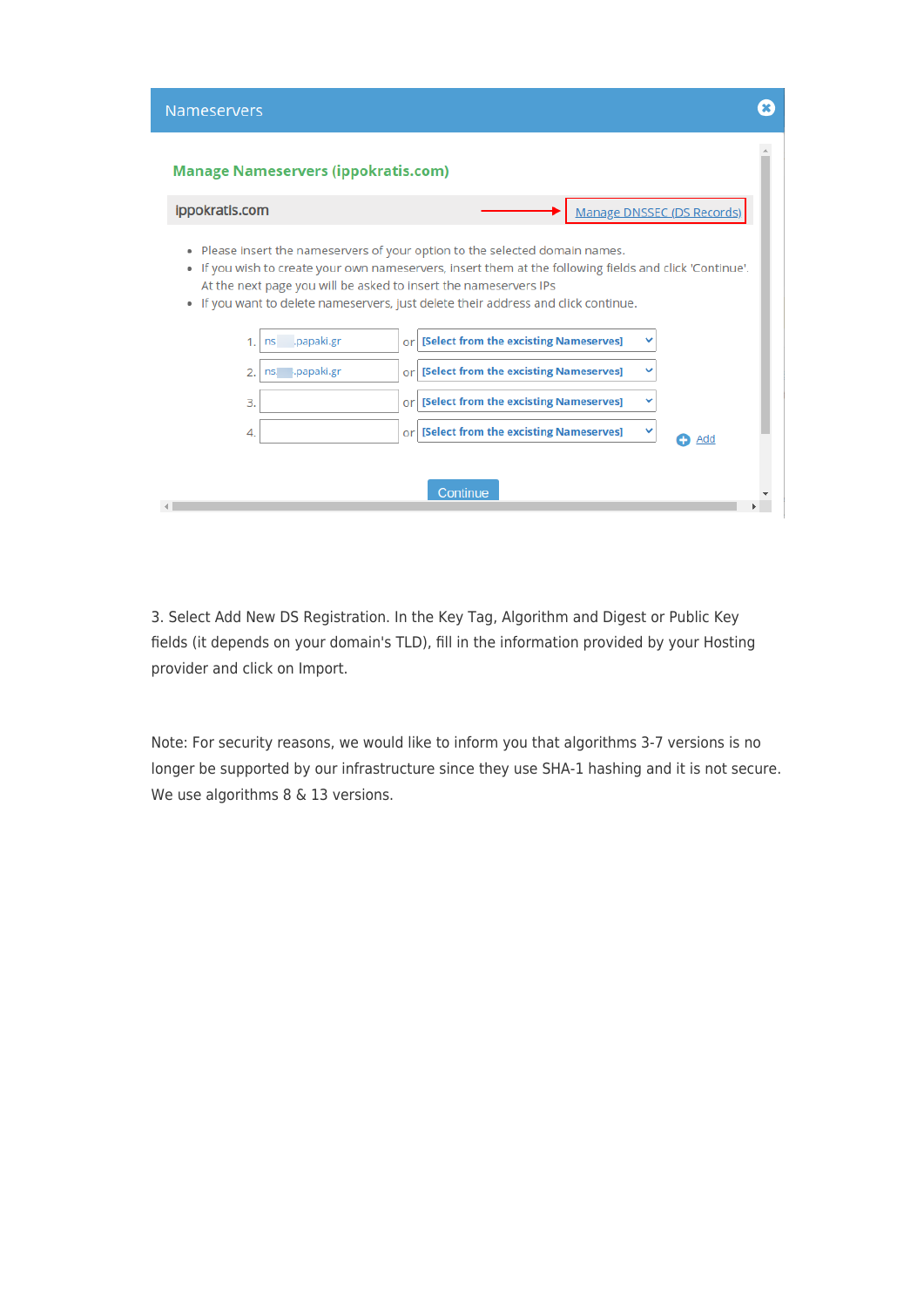| <b>Nameservers</b> |                                            |    |                                                                                                                                                                                                                                                                                                                                             |  |
|--------------------|--------------------------------------------|----|---------------------------------------------------------------------------------------------------------------------------------------------------------------------------------------------------------------------------------------------------------------------------------------------------------------------------------------------|--|
|                    | <b>Manage Nameservers (ippokratis.com)</b> |    |                                                                                                                                                                                                                                                                                                                                             |  |
| ippokratis.com     |                                            |    | Manage DNSSEC (DS Records)                                                                                                                                                                                                                                                                                                                  |  |
| ۰<br>۰<br>۰        |                                            |    | Please insert the nameservers of your option to the selected domain names.<br>If you wish to create your own nameservers, insert them at the following fields and click 'Continue'.<br>At the next page you will be asked to insert the nameservers IPs<br>If you want to delete nameservers, just delete their address and click continue. |  |
|                    | .papaki.gr<br>ns                           | or | [Select from the excisting Nameserves]<br>v                                                                                                                                                                                                                                                                                                 |  |
| 2.                 | ns. .papaki.gr                             | or | [Select from the excisting Nameserves]                                                                                                                                                                                                                                                                                                      |  |
| 3.                 |                                            | or | [Select from the excisting Nameserves]<br>v                                                                                                                                                                                                                                                                                                 |  |
| 4.                 |                                            | or | [Select from the excisting Nameserves]<br>v<br>Add                                                                                                                                                                                                                                                                                          |  |
|                    |                                            |    | Continue                                                                                                                                                                                                                                                                                                                                    |  |

3. Select Add New DS Registration. In the Key Tag, Algorithm and Digest or Public Key fields (it depends on your domain's TLD), fill in the information provided by your Hosting provider and click on Import.

Note: For security reasons, we would like to inform you that algorithms 3-7 versions is no longer be supported by our infrastructure since they use SHA-1 hashing and it is not secure. We use algorithms 8 & 13 versions.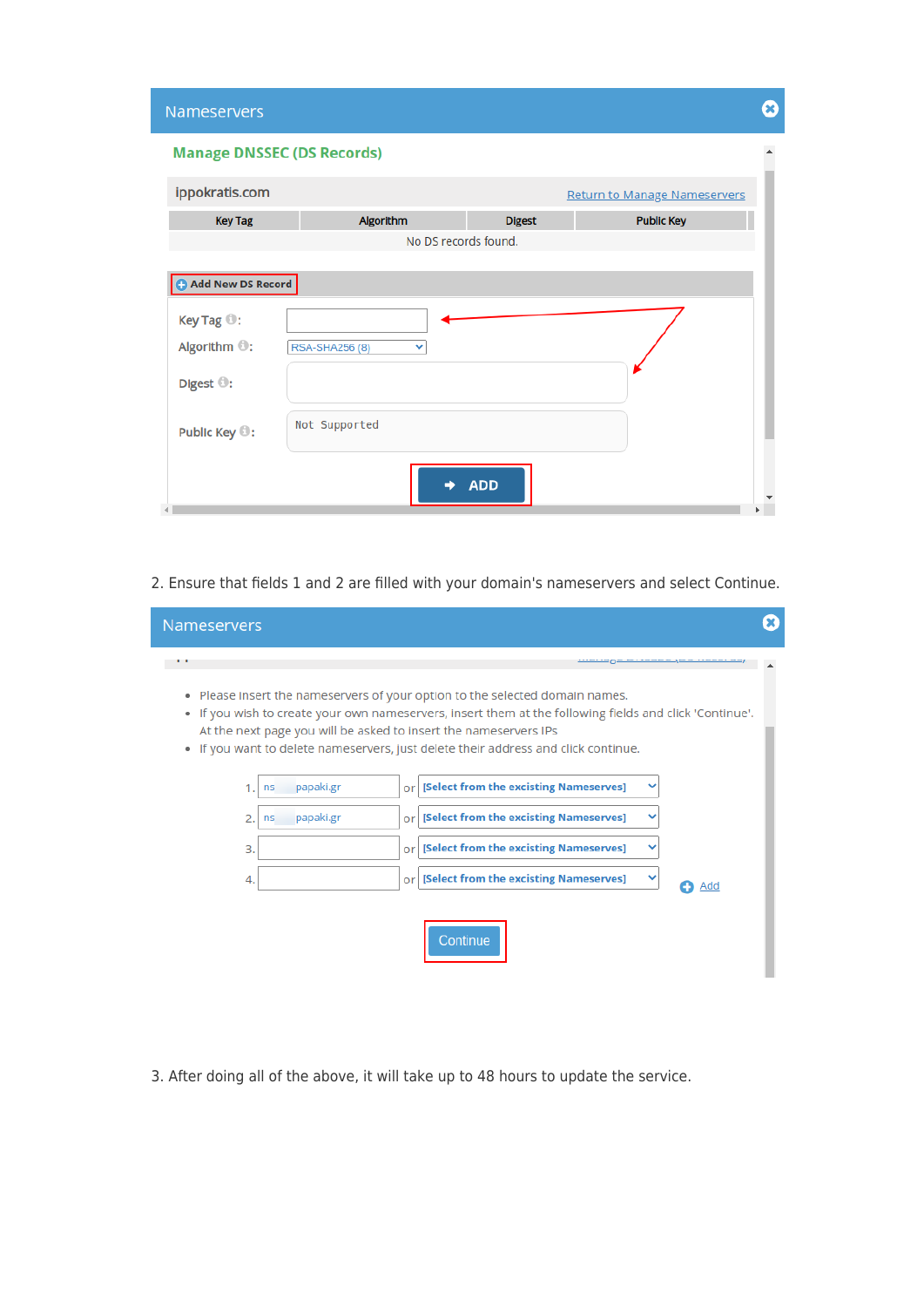| <b>Nameservers</b>         |                                   |               |                                     | Œ) |
|----------------------------|-----------------------------------|---------------|-------------------------------------|----|
|                            | <b>Manage DNSSEC (DS Records)</b> |               |                                     |    |
| ippokratis.com             |                                   |               | <b>Return to Manage Nameservers</b> |    |
| <b>Key Tag</b>             | Algorithm                         | <b>Digest</b> | <b>Public Key</b>                   |    |
|                            | No DS records found.              |               |                                     |    |
| Add New DS Record          |                                   |               |                                     |    |
| Key Tag <sup>(0</sup> :    |                                   |               |                                     |    |
| Algorithm <sup>(0)</sup> : | RSA-SHA256 (8)<br>v               |               |                                     |    |
| Digest <sup>(0</sup> :     |                                   |               |                                     |    |
| Public Key <sup>(0</sup> : | Not Supported                     |               |                                     |    |
|                            |                                   | <b>ADD</b>    |                                     |    |

2. Ensure that fields 1 and 2 are filled with your domain's nameservers and select Continue.

| <b>Nameservers</b>     |           |                                                                                                                                                                                                                                                                                                                                                   |  |
|------------------------|-----------|---------------------------------------------------------------------------------------------------------------------------------------------------------------------------------------------------------------------------------------------------------------------------------------------------------------------------------------------------|--|
| . .                    |           |                                                                                                                                                                                                                                                                                                                                                   |  |
|                        |           | • Please insert the nameservers of your option to the selected domain names.<br>• If you wish to create your own nameservers, insert them at the following fields and click 'Continue'.<br>At the next page you will be asked to insert the nameservers IPs<br>. If you want to delete nameservers, just delete their address and click continue. |  |
| 1.<br>ns               | papaki.gr | Or [Select from the excisting Nameserves]                                                                                                                                                                                                                                                                                                         |  |
| $\overline{2}$ .<br>ns | papaki.gr | Or [Select from the excisting Nameserves]                                                                                                                                                                                                                                                                                                         |  |
| 3.                     |           | [Select from the excisting Nameserves]<br>or l                                                                                                                                                                                                                                                                                                    |  |
| 4.                     |           | Or [Select from the excisting Nameserves]<br>Add                                                                                                                                                                                                                                                                                                  |  |
|                        |           | Continue                                                                                                                                                                                                                                                                                                                                          |  |

3. After doing all of the above, it will take up to 48 hours to update the service.